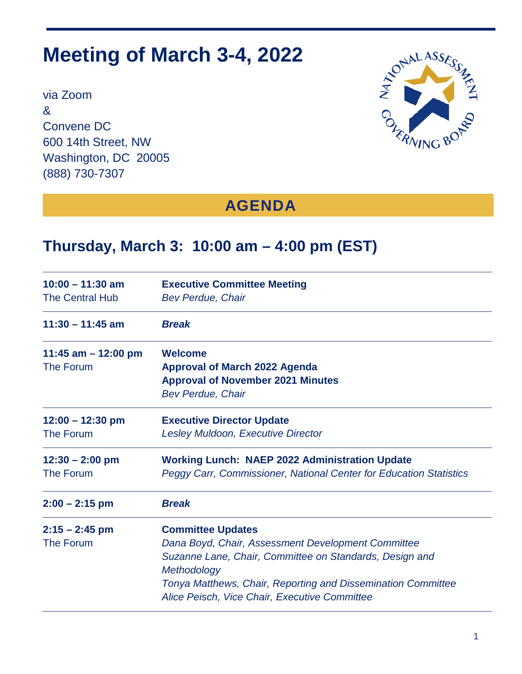# **Meeting of March 3-4, 2022**

via Zoom & Convene DC 600 14th Street, NW Washington, DC 20005 (888) 730-7307



## **AGENDA**

#### **Thursday, March 3: 10:00 am – 4:00 pm (EST)**

| $10:00 - 11:30$ am<br><b>The Central Hub</b> | <b>Executive Committee Meeting</b><br><b>Bev Perdue, Chair</b>                                                                                                                                                                                                            |  |
|----------------------------------------------|---------------------------------------------------------------------------------------------------------------------------------------------------------------------------------------------------------------------------------------------------------------------------|--|
| $11:30 - 11:45$ am<br><b>Break</b>           |                                                                                                                                                                                                                                                                           |  |
| 11:45 am $-$ 12:00 pm<br><b>The Forum</b>    | <b>Welcome</b><br><b>Approval of March 2022 Agenda</b><br><b>Approval of November 2021 Minutes</b><br><b>Bev Perdue, Chair</b>                                                                                                                                            |  |
| $12:00 - 12:30$ pm<br><b>The Forum</b>       | <b>Executive Director Update</b><br>Lesley Muldoon, Executive Director                                                                                                                                                                                                    |  |
| $12:30 - 2:00$ pm<br>The Forum               | <b>Working Lunch: NAEP 2022 Administration Update</b><br>Peggy Carr, Commissioner, National Center for Education Statistics                                                                                                                                               |  |
| $2:00 - 2:15$ pm                             | <b>Break</b>                                                                                                                                                                                                                                                              |  |
| $2:15 - 2:45$ pm<br>The Forum                | <b>Committee Updates</b><br>Dana Boyd, Chair, Assessment Development Committee<br>Suzanne Lane, Chair, Committee on Standards, Design and<br>Methodology<br>Tonya Matthews, Chair, Reporting and Dissemination Committee<br>Alice Peisch, Vice Chair, Executive Committee |  |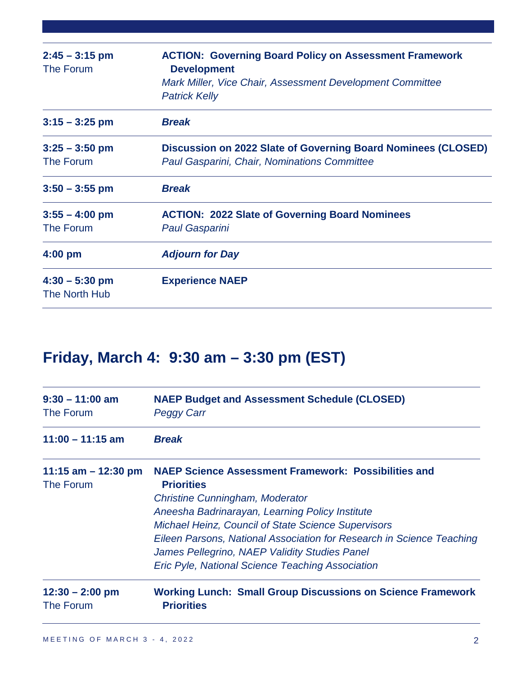| $2:45 - 3:15$ pm<br>The Forum     | <b>ACTION: Governing Board Policy on Assessment Framework</b><br><b>Development</b><br>Mark Miller, Vice Chair, Assessment Development Committee<br><b>Patrick Kelly</b> |  |
|-----------------------------------|--------------------------------------------------------------------------------------------------------------------------------------------------------------------------|--|
| $3:15 - 3:25$ pm                  | <b>Break</b>                                                                                                                                                             |  |
| $3:25 - 3:50$ pm<br>The Forum     | Discussion on 2022 Slate of Governing Board Nominees (CLOSED)<br>Paul Gasparini, Chair, Nominations Committee                                                            |  |
| $3:50 - 3:55$ pm                  | <b>Break</b>                                                                                                                                                             |  |
| $3:55 - 4:00$ pm<br>The Forum     | <b>ACTION: 2022 Slate of Governing Board Nominees</b><br><b>Paul Gasparini</b>                                                                                           |  |
| $4:00$ pm                         | <b>Adjourn for Day</b>                                                                                                                                                   |  |
| $4:30 - 5:30$ pm<br>The North Hub | <b>Experience NAEP</b>                                                                                                                                                   |  |

## **Friday, March 4: 9:30 am – 3:30 pm (EST)**

| $9:30 - 11:00$ am<br><b>NAEP Budget and Assessment Schedule (CLOSED)</b><br>The Forum<br><b>Peggy Carr</b> |                                                                                                                                                                                                                                                                                                                                                                                                                                  |  |
|------------------------------------------------------------------------------------------------------------|----------------------------------------------------------------------------------------------------------------------------------------------------------------------------------------------------------------------------------------------------------------------------------------------------------------------------------------------------------------------------------------------------------------------------------|--|
| $11:00 - 11:15$ am                                                                                         | <b>Break</b>                                                                                                                                                                                                                                                                                                                                                                                                                     |  |
| 11:15 am $-$ 12:30 pm<br>The Forum                                                                         | <b>NAEP Science Assessment Framework: Possibilities and</b><br><b>Priorities</b><br><b>Christine Cunningham, Moderator</b><br>Aneesha Badrinarayan, Learning Policy Institute<br><b>Michael Heinz, Council of State Science Supervisors</b><br>Eileen Parsons, National Association for Research in Science Teaching<br>James Pellegrino, NAEP Validity Studies Panel<br><b>Eric Pyle, National Science Teaching Association</b> |  |
| $12:30 - 2:00$ pm<br>The Forum                                                                             | <b>Working Lunch: Small Group Discussions on Science Framework</b><br><b>Priorities</b>                                                                                                                                                                                                                                                                                                                                          |  |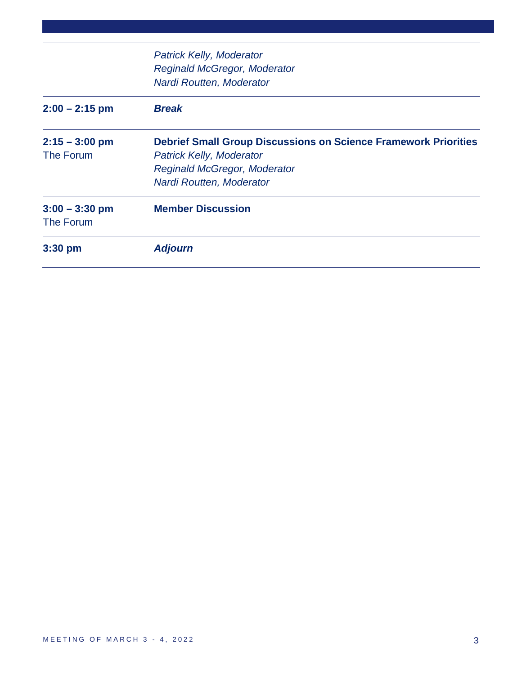| $3:00 - 3:30$ pm<br><b>The Forum</b> | <b>Member Discussion</b>                                               |
|--------------------------------------|------------------------------------------------------------------------|
|                                      | Nardi Routten, Moderator                                               |
|                                      | <b>Reginald McGregor, Moderator</b>                                    |
| The Forum                            | <b>Patrick Kelly, Moderator</b>                                        |
| $2:15 - 3:00$ pm                     | <b>Debrief Small Group Discussions on Science Framework Priorities</b> |
| $2:00 - 2:15$ pm                     | <b>Break</b>                                                           |
|                                      | Nardi Routten, Moderator                                               |
|                                      | <b>Reginald McGregor, Moderator</b>                                    |
|                                      | <b>Patrick Kelly, Moderator</b>                                        |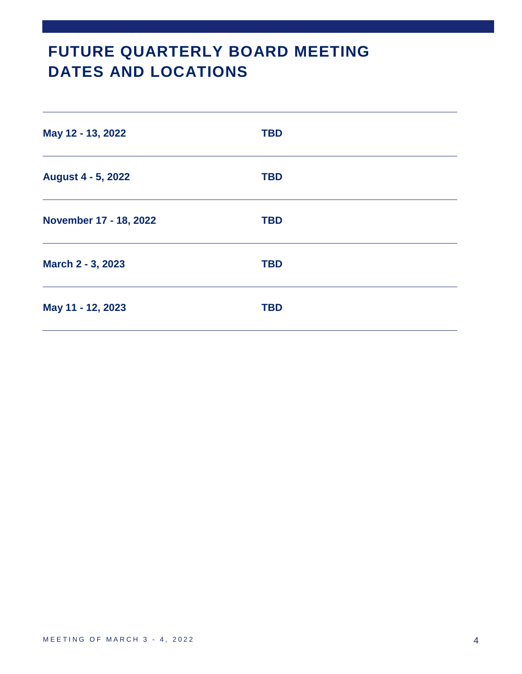## **FUTURE QUARTERLY BOARD MEETING DATES AND LOCATIONS**

| May 12 - 13, 2022      | <b>TBD</b> |
|------------------------|------------|
| August 4 - 5, 2022     | <b>TBD</b> |
| November 17 - 18, 2022 | <b>TBD</b> |
| March 2 - 3, 2023      | <b>TBD</b> |
| May 11 - 12, 2023      | <b>TBD</b> |